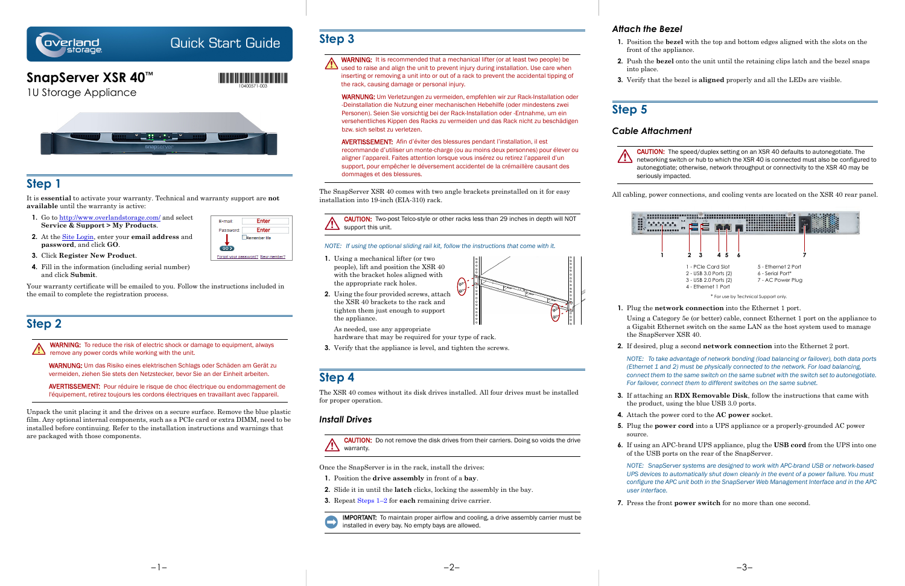

# Quick Start Guide

# **SnapServer XSR 40™**

1U Storage Appliance



## **Step 1**

- **1.** Go to<http://www.overlandstorage.com/> and select **Service & Support > My Products**.
- **2.** At the [Site Login,](http://support.overlandstorage.com/touchpoint/logIn/login.aspx?ReturnUrl=%2ftouchpoint%2fproducts%2fproducts.aspx) enter your **email address** and **password**, and click **GO**.
	- $GOD$
- E-mail: Enter Enter Password: Remember Me Forgot your password? New member?

It is **essential** to activate your warranty. Technical and warranty support are **not available** until the warranty is active:

WARNING: To reduce the risk of electric shock or damage to equipment, always remove any power cords while working with the unit.

- **3.** Click **Register New Product**.
- **4.** Fill in the information (including serial number) and click **Submit**.

Your warranty certificate will be emailed to you. Follow the instructions included in the email to complete the registration process.

# **Step 2**

WARNUNG: Um das Risiko eines elektrischen Schlags oder Schäden am Gerät zu vermeiden, ziehen Sie stets den Netzstecker, bevor Sie an der Einheit arbeiten.

WARNING: It is recommended that a mechanical lifter (or at least two people) be WARNING: It is recommended that a modelling installation. Use care when<br>used to raise and align the unit to prevent injury during installation. Use care when inserting or removing a unit into or out of a rack to prevent the accidental tipping of the rack, causing damage or personal injury.

AVERTISSEMENT: Pour réduire le risque de choc électrique ou endommagement de l'équipement, retirez toujours les cordons électriques en travaillant avec l'appareil.

Unpack the unit placing it and the drives on a secure surface. Remove the blue plastic film. Any optional internal components, such as a PCIe card or extra DIMM, need to be installed before continuing. Refer to the installation instructions and warnings that are packaged with those components.

CAUTION: Two-post Telco-style or other racks less than 29 inches in depth will NOT  $\sqrt{2\sum_{n=1}^{\infty}}$  support this unit.

## **Step 3**

WARNUNG: Um Verletzungen zu vermeiden, empfehlen wir zur Rack-Installation oder -Deinstallation die Nutzung einer mechanischen Hebehilfe (oder mindestens zwei Personen). Seien Sie vorsichtig bei der Rack-Installation oder -Entnahme, um ein versehentliches Kippen des Racks zu vermeiden und das Rack nicht zu beschädigen bzw. sich selbst zu verletzen.

AVERTISSEMENT: Afin d'éviter des blessures pendant l'installation, il est recommande d'utiliser un monte-charge (ou au moins deux personnes) pour élever ou aligner l'appareil. Faites attention lorsque vous insérez ou retirez l'appareil d'un support, pour empêcher le déversement accidentel de la crémaillère causant des dommages et des blessures.

The SnapServer XSR 40 comes with two angle brackets preinstalled on it for easy installation into 19-inch (EIA-310) rack.

### *NOTE: If using the optional sliding rail kit, follow the instructions that come with it.*

- **1.** Using a mechanical lifter (or two people), lift and position the XSR 40 with the bracket holes aligned with the appropriate rack holes.
- **2.** Using the four provided screws, attach the XSR 40 brackets to the rack and tighten them just enough to support the appliance.

As needed, use any appropriate hardware that may be required for your type of rack.

**3.** Verify that the appliance is level, and tighten the screws.

## **Step 4**

The XSR 40 comes without its disk drives installed. All four drives must be installed for proper operation.

### *Install Drives*

CAUTION: Do not remove the disk drives from their carriers. Doing so voids the drive warranty.

Once the SnapServer is in the rack, install the drives:

- **1.** Position the **drive assembly** in front of a **bay**.
- **2.** Slide it in until the **latch** clicks, locking the assembly in the bay.
- **3.** Repeat Steps 1–2 for **each** remaining drive carrier.

IMPORTANT: To maintain proper airflow and cooling, a drive assembly carrier must be installed in *every* bay. No empty bays are allowed.

### *Attach the Bezel*

**1.** Position the **bezel** with the top and bottom edges aligned with the slots on the

- front of the appliance.
- into place.
- 

**2.** Push the **bezel** onto the unit until the retaining clips latch and the bezel snaps

**3.** Verify that the bezel is **aligned** properly and all the LEDs are visible.

# **Step 5**

## *Cable Attachment*

CAUTION: The speed/duplex setting on an XSR 40 defaults to autonegotiate. The  $\sqrt{\phantom{a}}$  networking switch or hub to which the XSR 40 is connected must also be configured to autonegotiate; otherwise, network throughput or connectivity to the XSR 40 may be

seriously impacted.

All cabling, power connections, and cooling vents are located on the XSR 40 rear panel.

**1.** Plug the **network connection** into the Ethernet 1 port.

Using a Category 5e (or better) cable, connect Ethernet 1 port on the appliance to a Gigabit Ethernet switch on the same LAN as the host system used to manage

- the SnapServer XSR 40.
- 

**2.** If desired, plug a second **network connection** into the Ethernet 2 port.

*NOTE: To take advantage of network bonding (load balancing or failover), both data ports (Ethernet 1 and 2) must be physically connected to the network. For load balancing, connect them to the same switch on the same subnet with the switch set to autonegotiate. For failover, connect them to different switches on the same subnet.*

**3.** If attaching an **RDX Removable Disk**, follow the instructions that came with the product, using the blue USB 3.0 ports.

**4.** Attach the power cord to the **AC power** socket.

**5.** Plug the **power cord** into a UPS appliance or a properly-grounded AC power

- 
- 
- source.
- 

**6.** If using an APC-brand UPS appliance, plug the **USB cord** from the UPS into one of the USB ports on the rear of the SnapServer.

*NOTE: SnapServer systems are designed to work with APC-brand USB or network-based UPS devices to automatically shut down cleanly in the event of a power failure. You must configure the APC unit both in the SnapServer Web Management Interface and in the APC user interface.*

**7.** Press the front **power switch** for no more than one second.



\* For use by Technical Support only.



10400571-003